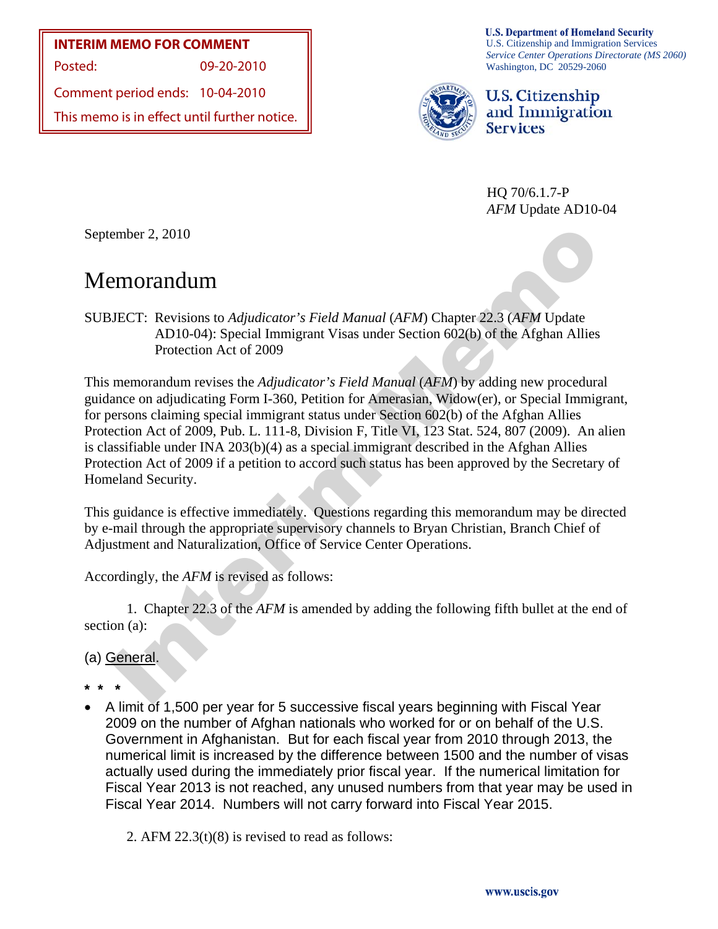**INTERIM MEMO FOR COMMENT**

Posted: 09-20-2010

Comment period ends: 10-04-2010

This memo is in effect until further notice.

**U.S. Department of Homeland Security** U.S. Citizenship and Immigration Services *Service Center Operations Directorate (MS 2060)*  Washington, DC 20529-2060



U.S. Citizenship and Immigration **Services** 

HQ 70/6.1.7-P *AFM* Update AD10-04

September 2, 2010

# Memorandum

SUBJECT: Revisions to *Adjudicator's Field Manual* (*AFM*) Chapter 22.3 (*AFM* Update AD10-04): Special Immigrant Visas under Section 602(b) of the Afghan Allies Protection Act of 2009

ember 2, 2010<br>
2DECT: Revisions to *Adjudicator's Field Manual (AFM)* Chapter 22.3 (*AFM Update*<br>
7DECT: Revisions to *Adjudicator's Field Manual (AFM)* Chapter 22.3 (*AFM Update*<br>
7DECT: Revisions to *Adjudicator's Field* This memorandum revises the *Adjudicator's Field Manual* (*AFM*) by adding new procedural guidance on adjudicating Form I-360, Petition for Amerasian, Widow(er), or Special Immigrant, for persons claiming special immigrant status under Section 602(b) of the Afghan Allies Protection Act of 2009, Pub. L. 111-8, Division F, Title VI, 123 Stat. 524, 807 (2009). An alien is classifiable under INA 203(b)(4) as a special immigrant described in the Afghan Allies Protection Act of 2009 if a petition to accord such status has been approved by the Secretary of Homeland Security.

This guidance is effective immediately. Questions regarding this memorandum may be directed by e-mail through the appropriate supervisory channels to Bryan Christian, Branch Chief of Adjustment and Naturalization, Office of Service Center Operations.

Accordingly, the *AFM* is revised as follows:

 1. Chapter 22.3 of the *AFM* is amended by adding the following fifth bullet at the end of section (a):

## (a) General.

**\* \* \*** 

• A limit of 1,500 per year for 5 successive fiscal years beginning with Fiscal Year 2009 on the number of Afghan nationals who worked for or on behalf of the U.S. Government in Afghanistan. But for each fiscal year from 2010 through 2013, the numerical limit is increased by the difference between 1500 and the number of visas actually used during the immediately prior fiscal year. If the numerical limitation for Fiscal Year 2013 is not reached, any unused numbers from that year may be used in Fiscal Year 2014. Numbers will not carry forward into Fiscal Year 2015.

2. AFM 22.3(t)(8) is revised to read as follows: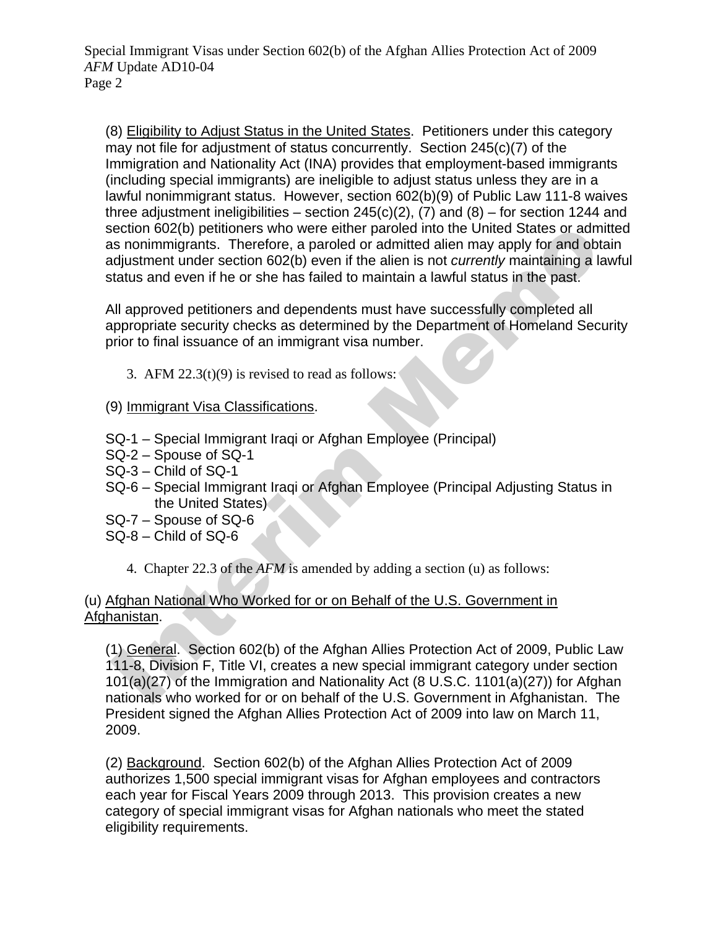Special Immigrant Visas under Section 602(b) of the Afghan Allies Protection Act of 2009 *AFM* Update AD10-04 Page 2

(8) Eligibility to Adjust Status in the United States. Petitioners under this category may not file for adjustment of status concurrently. Section 245(c)(7) of the Immigration and Nationality Act (INA) provides that employment-based immigrants (including special immigrants) are ineligible to adjust status unless they are in a lawful nonimmigrant status. However, section 602(b)(9) of Public Law 111-8 waives three adjustment ineligibilities – section  $245(c)(2)$ , (7) and (8) – for section 1244 and section 602(b) petitioners who were either paroled into the United States or admitted as nonimmigrants. Therefore, a paroled or admitted alien may apply for and obtain adjustment under section 602(b) even if the alien is not *currently* maintaining a lawful status and even if he or she has failed to maintain a lawful status in the past.

All approved petitioners and dependents must have successfully completed all appropriate security checks as determined by the Department of Homeland Security prior to final issuance of an immigrant visa number.

- 3. AFM  $22.3(t)(9)$  is revised to read as follows:
- (9) Immigrant Visa Classifications.
- SQ-1 Special Immigrant Iraqi or Afghan Employee (Principal)
- SQ-2 Spouse of SQ-1
- SQ-3 Child of SQ-1
- SQ-6 Special Immigrant Iraqi or Afghan Employee (Principal Adjusting Status in the United States)
- SQ-7 Spouse of SQ-6
- SQ-8 Child of SQ-6
	- 4. Chapter 22.3 of the *AFM* is amended by adding a section (u) as follows:

## (u) Afghan National Who Worked for or on Behalf of the U.S. Government in Afghanistan.

iection 602(b) petitioners who were either paroled into the United States or admitted<br>as nonimingrants. Therefore, a paroled or admitted alien may apply for and obtain<br>digiustment under section 602(b) even if the alien is (1) General. Section 602(b) of the Afghan Allies Protection Act of 2009, Public Law 111-8, Division F, Title VI, creates a new special immigrant category under section 101(a)(27) of the Immigration and Nationality Act (8 U.S.C. 1101(a)(27)) for Afghan nationals who worked for or on behalf of the U.S. Government in Afghanistan. The President signed the Afghan Allies Protection Act of 2009 into law on March 11, 2009.

(2) Background. Section 602(b) of the Afghan Allies Protection Act of 2009 authorizes 1,500 special immigrant visas for Afghan employees and contractors each year for Fiscal Years 2009 through 2013. This provision creates a new category of special immigrant visas for Afghan nationals who meet the stated eligibility requirements.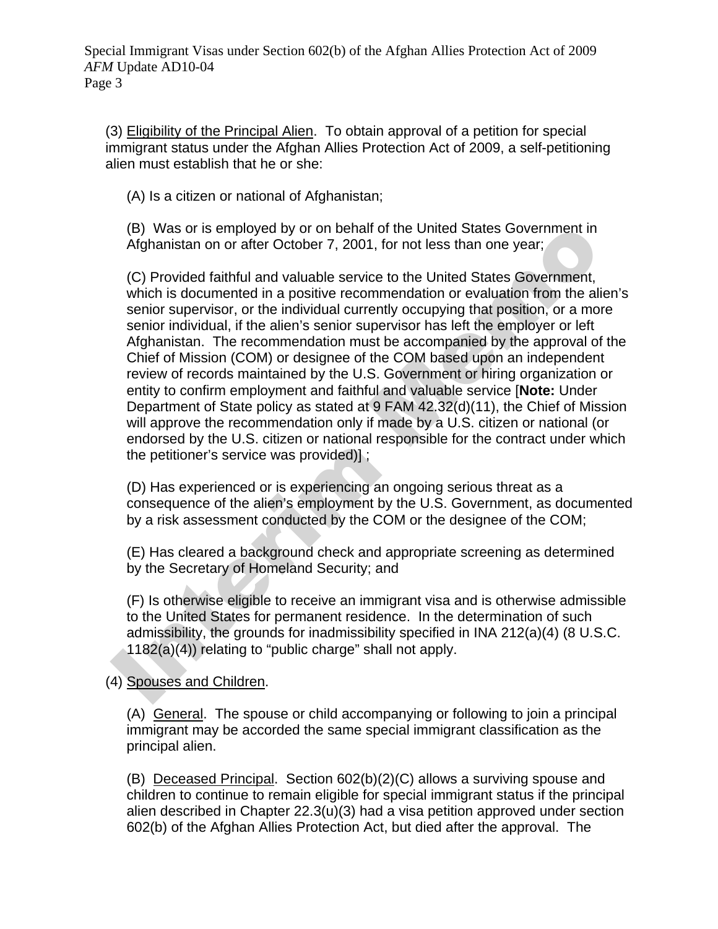Special Immigrant Visas under Section 602(b) of the Afghan Allies Protection Act of 2009 *AFM* Update AD10-04 Page 3

(3) Eligibility of the Principal Alien. To obtain approval of a petition for special immigrant status under the Afghan Allies Protection Act of 2009, a self-petitioning alien must establish that he or she:

(A) Is a citizen or national of Afghanistan;

(B) Was or is employed by or on behalf of the United States Government in Afghanistan on or after October 7, 2001, for not less than one year;

(B) Was or is employed by or on behalf of the United States Government in<br>
Afghanistan on or after October 7, 2001, for not less than one year;<br>
(C) Provided faithful and valuable service to the United States Government,<br> (C) Provided faithful and valuable service to the United States Government, which is documented in a positive recommendation or evaluation from the alien's senior supervisor, or the individual currently occupying that position, or a more senior individual, if the alien's senior supervisor has left the employer or left Afghanistan. The recommendation must be accompanied by the approval of the Chief of Mission (COM) or designee of the COM based upon an independent review of records maintained by the U.S. Government or hiring organization or entity to confirm employment and faithful and valuable service [**Note:** Under Department of State policy as stated at 9 FAM 42.32(d)(11), the Chief of Mission will approve the recommendation only if made by a U.S. citizen or national (or endorsed by the U.S. citizen or national responsible for the contract under which the petitioner's service was provided)] ;

(D) Has experienced or is experiencing an ongoing serious threat as a consequence of the alien's employment by the U.S. Government, as documented by a risk assessment conducted by the COM or the designee of the COM;

(E) Has cleared a background check and appropriate screening as determined by the Secretary of Homeland Security; and

(F) Is otherwise eligible to receive an immigrant visa and is otherwise admissible to the United States for permanent residence. In the determination of such admissibility, the grounds for inadmissibility specified in INA 212(a)(4) (8 U.S.C. 1182(a)(4)) relating to "public charge" shall not apply.

### (4) Spouses and Children.

(A) General. The spouse or child accompanying or following to join a principal immigrant may be accorded the same special immigrant classification as the principal alien.

(B) Deceased Principal. Section 602(b)(2)(C) allows a surviving spouse and children to continue to remain eligible for special immigrant status if the principal alien described in Chapter 22.3(u)(3) had a visa petition approved under section 602(b) of the Afghan Allies Protection Act, but died after the approval. The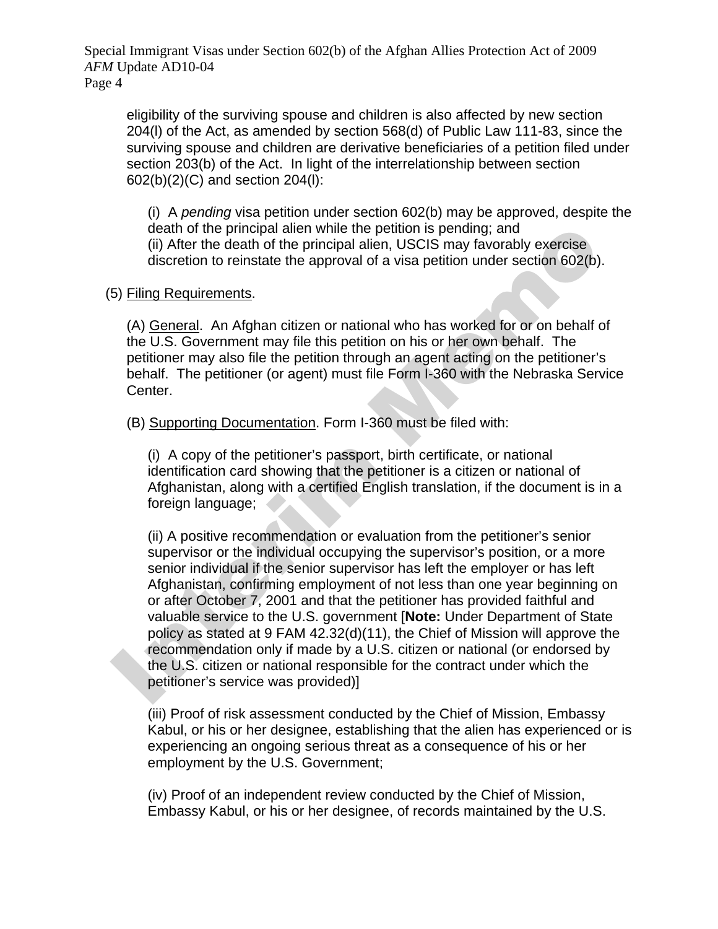Special Immigrant Visas under Section 602(b) of the Afghan Allies Protection Act of 2009 *AFM* Update AD10-04 Page 4

eligibility of the surviving spouse and children is also affected by new section 204(l) of the Act, as amended by section 568(d) of Public Law 111-83, since the surviving spouse and children are derivative beneficiaries of a petition filed under section 203(b) of the Act. In light of the interrelationship between section 602(b)(2)(C) and section 204(l):

(i) A *pending* visa petition under section 602(b) may be approved, despite the death of the principal alien while the petition is pending; and (ii) After the death of the principal alien, USCIS may favorably exercise discretion to reinstate the approval of a visa petition under section 602(b).

#### (5) Filing Requirements.

(A) General. An Afghan citizen or national who has worked for or on behalf of the U.S. Government may file this petition on his or her own behalf. The petitioner may also file the petition through an agent acting on the petitioner's behalf. The petitioner (or agent) must file Form I-360 with the Nebraska Service Center.

(B) Supporting Documentation. Form I-360 must be filed with:

(i) A copy of the petitioner's passport, birth certificate, or national identification card showing that the petitioner is a citizen or national of Afghanistan, along with a certified English translation, if the document is in a foreign language;

death of the principal alien while the petition is pending; and<br>
(ii) After the death of the principal alien, USCIS may favorably exercise<br>
discretion to reinstate the approval of a visa petition under section 602(b).<br>
5) (ii) A positive recommendation or evaluation from the petitioner's senior supervisor or the individual occupying the supervisor's position, or a more senior individual if the senior supervisor has left the employer or has left Afghanistan, confirming employment of not less than one year beginning on or after October 7, 2001 and that the petitioner has provided faithful and valuable service to the U.S. government [**Note:** Under Department of State policy as stated at 9 FAM 42.32(d)(11), the Chief of Mission will approve the recommendation only if made by a U.S. citizen or national (or endorsed by the U.S. citizen or national responsible for the contract under which the petitioner's service was provided)]

(iii) Proof of risk assessment conducted by the Chief of Mission, Embassy Kabul, or his or her designee, establishing that the alien has experienced or is experiencing an ongoing serious threat as a consequence of his or her employment by the U.S. Government;

(iv) Proof of an independent review conducted by the Chief of Mission, Embassy Kabul, or his or her designee, of records maintained by the U.S.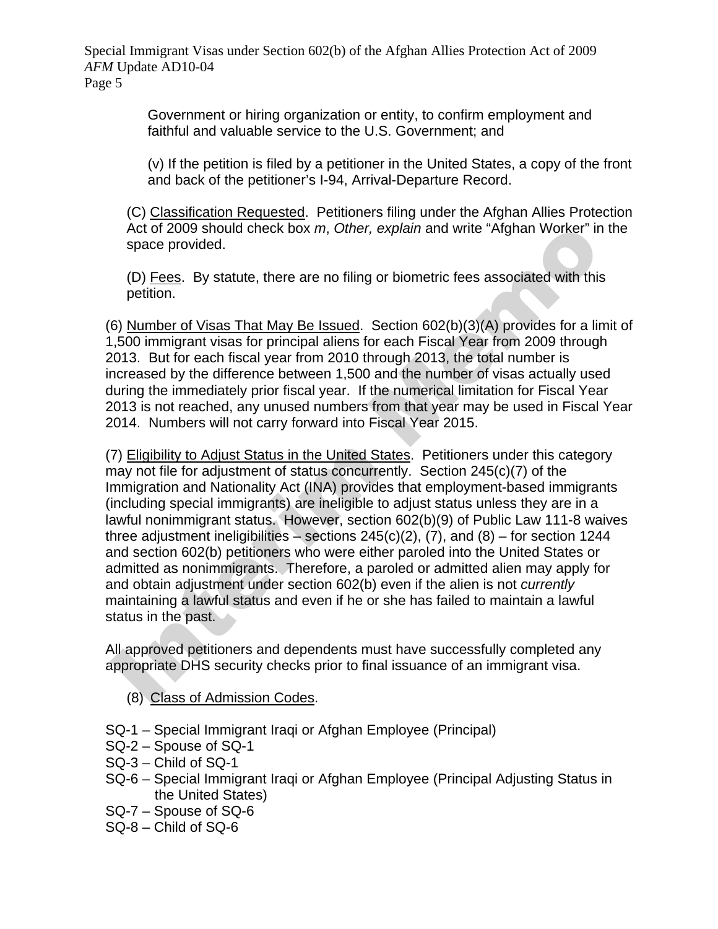Special Immigrant Visas under Section 602(b) of the Afghan Allies Protection Act of 2009 *AFM* Update AD10-04

Page 5

Government or hiring organization or entity, to confirm employment and faithful and valuable service to the U.S. Government; and

(v) If the petition is filed by a petitioner in the United States, a copy of the front and back of the petitioner's I-94, Arrival-Departure Record.

(C) Classification Requested. Petitioners filing under the Afghan Allies Protection Act of 2009 should check box *m*, *Other, explain* and write "Afghan Worker" in the space provided.

(D) Fees. By statute, there are no filing or biometric fees associated with this petition.

(6) Number of Visas That May Be Issued. Section 602(b)(3)(A) provides for a limit of 1,500 immigrant visas for principal aliens for each Fiscal Year from 2009 through 2013. But for each fiscal year from 2010 through 2013, the total number is increased by the difference between 1,500 and the number of visas actually used during the immediately prior fiscal year. If the numerical limitation for Fiscal Year 2013 is not reached, any unused numbers from that year may be used in Fiscal Year 2014. Numbers will not carry forward into Fiscal Year 2015.

Act of 2009 should check box *m*, *Other*, *explain* and write "Atghan Worker" in th<br>space provided.<br>(D) <u>Fees</u>. By statute, there are no filing or biometric fees associated with this<br>(p) <u>Tees</u>. By statute, there are no f (7) Eligibility to Adjust Status in the United States. Petitioners under this category may not file for adjustment of status concurrently. Section 245(c)(7) of the Immigration and Nationality Act (INA) provides that employment-based immigrants (including special immigrants) are ineligible to adjust status unless they are in a lawful nonimmigrant status. However, section 602(b)(9) of Public Law 111-8 waives three adjustment ineligibilities – sections  $245(c)(2)$ , (7), and (8) – for section 1244 and section 602(b) petitioners who were either paroled into the United States or admitted as nonimmigrants. Therefore, a paroled or admitted alien may apply for and obtain adjustment under section 602(b) even if the alien is not *currently* maintaining a lawful status and even if he or she has failed to maintain a lawful status in the past.

All approved petitioners and dependents must have successfully completed any appropriate DHS security checks prior to final issuance of an immigrant visa.

- (8) Class of Admission Codes.
- SQ-1 Special Immigrant Iraqi or Afghan Employee (Principal)
- SQ-2 Spouse of SQ-1
- SQ-3 Child of SQ-1
- SQ-6 Special Immigrant Iraqi or Afghan Employee (Principal Adjusting Status in the United States)
- SQ-7 Spouse of SQ-6
- SQ-8 Child of SQ-6